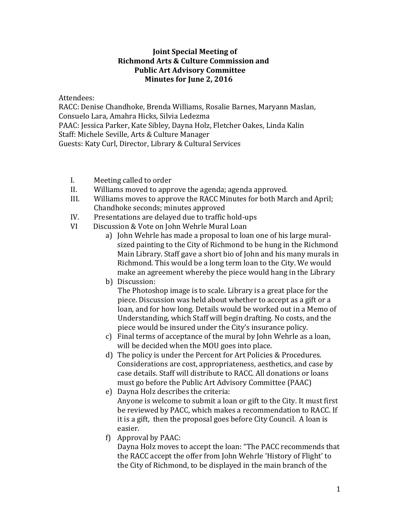## **Joint Special Meeting of Richmond Arts & Culture Commission and Public Art Advisory Committee Minutes for June 2, 2016**

Attendees:

RACC: Denise Chandhoke, Brenda Williams, Rosalie Barnes, Maryann Maslan, Consuelo Lara, Amahra Hicks, Silvia Ledezma PAAC: Jessica Parker, Kate Sibley, Dayna Holz, Fletcher Oakes, Linda Kalin Staff: Michele Seville, Arts & Culture Manager Guests: Katy Curl, Director, Library & Cultural Services

- I. Meeting called to order<br>II. Williams moved to appr
- II. Williams moved to approve the agenda; agenda approved.<br>III. Williams moves to approve the RACC Minutes for both Mar
- Williams moves to approve the RACC Minutes for both March and April; Chandhoke seconds; minutes approved
- IV. Presentations are delayed due to traffic hold-ups<br>VI Discussion & Vote on John Wehrle Mural Loan
- Discussion & Vote on John Wehrle Mural Loan
	- a) John Wehrle has made a proposal to loan one of his large muralsized painting to the City of Richmond to be hung in the Richmond Main Library. Staff gave a short bio of John and his many murals in Richmond. This would be a long term loan to the City. We would make an agreement whereby the piece would hang in the Library
	- b) Discussion:

 The Photoshop image is to scale. Library is a great place for the piece. Discussion was held about whether to accept as a gift or a loan, and for how long. Details would be worked out in a Memo of Understanding, which Staff will begin drafting. No costs, and the piece would be insured under the City's insurance policy.

- c) Final terms of acceptance of the mural by John Wehrle as a loan, will be decided when the MOU goes into place.
- d) The policy is under the Percent for Art Policies & Procedures. Considerations are cost, appropriateness, aesthetics, and case by case details. Staff will distribute to RACC. All donations or loans must go before the Public Art Advisory Committee (PAAC)
- e) Dayna Holz describes the criteria: Anyone is welcome to submit a loan or gift to the City. It must first be reviewed by PACC, which makes a recommendation to RACC. If it is a gift, then the proposal goes before City Council. A loan is easier.
- f) Approval by PAAC:

Dayna Holz moves to accept the loan: "The PACC recommends that the RACC accept the offer from John Wehrle 'History of Flight' to the City of Richmond, to be displayed in the main branch of the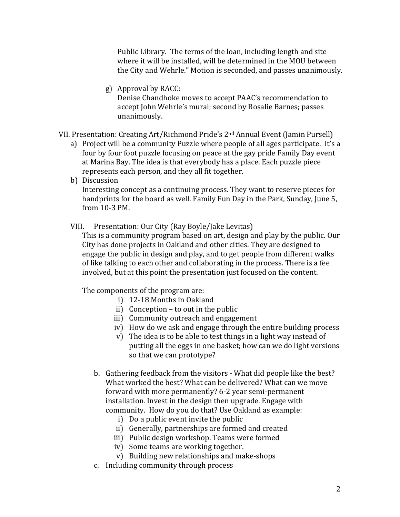Public Library. The terms of the loan, including length and site where it will be installed, will be determined in the MOU between the City and Wehrle." Motion is seconded, and passes unanimously.

g) Approval by RACC: Denise Chandhoke moves to accept PAAC's recommendation to accept John Wehrle's mural; second by Rosalie Barnes; passes unanimously.

VII. Presentation: Creating Art/Richmond Pride's 2nd Annual Event (Jamin Pursell)

- a) Project will be a community Puzzle where people of all ages participate. It's a four by four foot puzzle focusing on peace at the gay pride Family Day event at Marina Bay. The idea is that everybody has a place. Each puzzle piece represents each person, and they all fit together.
- b) Discussion

Interesting concept as a continuing process. They want to reserve pieces for handprints for the board as well. Family Fun Day in the Park, Sunday, June 5, from 10-3 PM.

VIII. Presentation: Our City (Ray Boyle/Jake Levitas)

This is a community program based on art, design and play by the public. Our City has done projects in Oakland and other cities. They are designed to engage the public in design and play, and to get people from different walks of like talking to each other and collaborating in the process. There is a fee involved, but at this point the presentation just focused on the content.

The components of the program are:

- i) 12-18 Months in Oakland
- ii) Conception to out in the public
- iii) Community outreach and engagement
- iv) How do we ask and engage through the entire building process
- v) The idea is to be able to test things in a light way instead of putting all the eggs in one basket; how can we do light versions so that we can prototype?
- b. Gathering feedback from the visitors What did people like the best? What worked the best? What can be delivered? What can we move forward with more permanently? 6-2 year semi-permanent installation. Invest in the design then upgrade. Engage with community. How do you do that? Use Oakland as example:
	- i) Do a public event invite the public
	- ii) Generally, partnerships are formed and created
	- iii) Public design workshop. Teams were formed
	- iv) Some teams are working together.
	- v) Building new relationships and make-shops
- c. Including community through process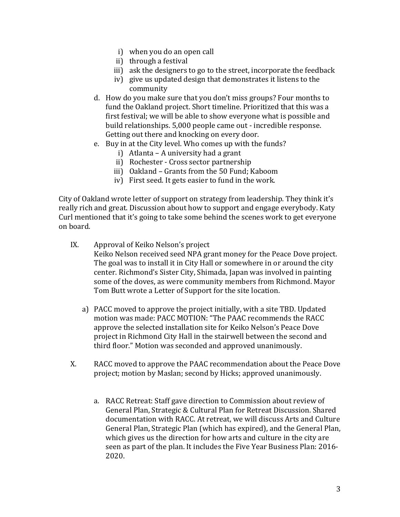- i) when you do an open call
- ii) through a festival
- iii) ask the designers to go to the street, incorporate the feedback
- iv) give us updated design that demonstrates it listens to the community
- d. How do you make sure that you don't miss groups? Four months to fund the Oakland project. Short timeline. Prioritized that this was a first festival; we will be able to show everyone what is possible and build relationships. 5,000 people came out - incredible response. Getting out there and knocking on every door.
- e. Buy in at the City level. Who comes up with the funds?
	- i) Atlanta A university had a grant
	- ii) Rochester Cross sector partnership
	- iii) Oakland Grants from the 50 Fund; Kaboom
	- iv) First seed. It gets easier to fund in the work.

City of Oakland wrote letter of support on strategy from leadership. They think it's really rich and great. Discussion about how to support and engage everybody. Katy Curl mentioned that it's going to take some behind the scenes work to get everyone on board.

IX. Approval of Keiko Nelson's project

Keiko Nelson received seed NPA grant money for the Peace Dove project. The goal was to install it in City Hall or somewhere in or around the city center. Richmond's Sister City, Shimada, Japan was involved in painting some of the doves, as were community members from Richmond. Mayor Tom Butt wrote a Letter of Support for the site location.

- a) PACC moved to approve the project initially, with a site TBD. Updated motion was made: PACC MOTION: "The PAAC recommends the RACC approve the selected installation site for Keiko Nelson's Peace Dove project in Richmond City Hall in the stairwell between the second and third floor." Motion was seconded and approved unanimously.
- X. RACC moved to approve the PAAC recommendation about the Peace Dove project; motion by Maslan; second by Hicks; approved unanimously.
	- a. RACC Retreat: Staff gave direction to Commission about review of General Plan, Strategic & Cultural Plan for Retreat Discussion. Shared documentation with RACC. At retreat, we will discuss Arts and Culture General Plan, Strategic Plan (which has expired), and the General Plan, which gives us the direction for how arts and culture in the city are seen as part of the plan. It includes the Five Year Business Plan: 2016- 2020.